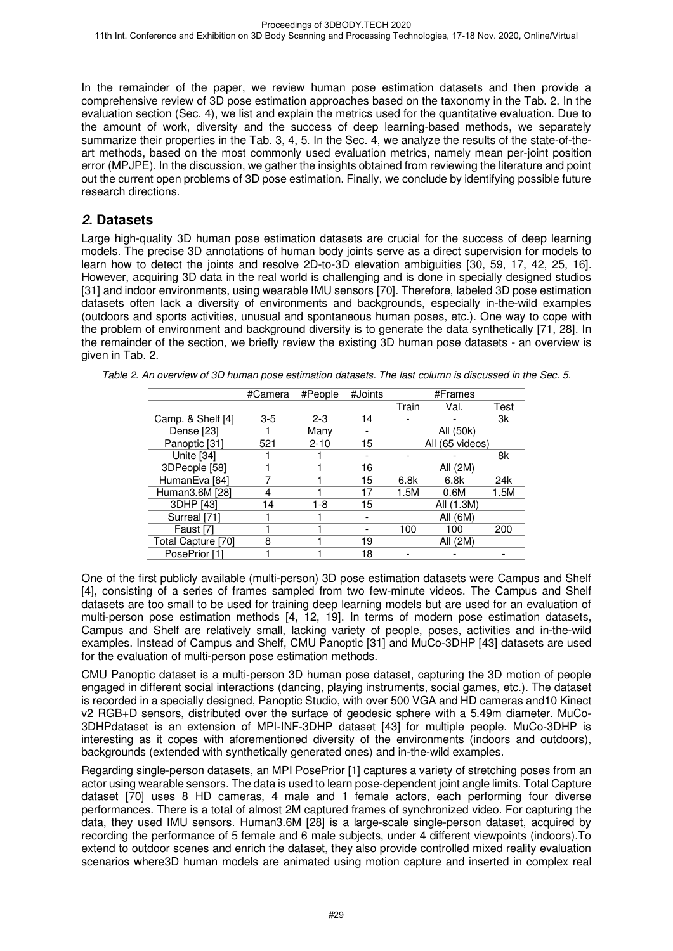In the remainder of the paper, we review human pose estimation datasets and then provide a comprehensive review of 3D pose estimation approaches based on the taxonomy in the Tab. 2. In the evaluation section (Sec. 4), we list and explain the metrics used for the quantitative evaluation. Due to the amount of work, diversity and the success of deep learning-based methods, we separately summarize their properties in the Tab. 3, 4, 5. In the Sec. 4, we analyze the results of the state-of-theart methods, based on the most commonly used evaluation metrics, namely mean per-joint position error (MPJPE). In the discussion, we gather the insights obtained from reviewing the literature and point out the current open problems of 3D pose estimation. Finally, we conclude by identifying possible future research directions.

### **2. Datasets**

Large high-quality 3D human pose estimation datasets are crucial for the success of deep learning models. The precise 3D annotations of human body joints serve as a direct supervision for models to learn how to detect the joints and resolve 2D-to-3D elevation ambiguities [30, 59, 17, 42, 25, 16]. However, acquiring 3D data in the real world is challenging and is done in specially designed studios [31] and indoor environments, using wearable IMU sensors [70]. Therefore, labeled 3D pose estimation datasets often lack a diversity of environments and backgrounds, especially in-the-wild examples (outdoors and sports activities, unusual and spontaneous human poses, etc.). One way to cope with the problem of environment and background diversity is to generate the data synthetically [71, 28]. In the remainder of the section, we briefly review the existing 3D human pose datasets - an overview is given in Tab. 2.

|                    | #Camera | #People  | #Joints | #Frames |                 |      |
|--------------------|---------|----------|---------|---------|-----------------|------|
|                    |         |          |         | Train   | Val.            | Test |
| Camp. & Shelf [4]  | $3-5$   | $2 - 3$  | 14      |         |                 | 3k   |
| Dense [23]         |         | Many     |         |         | All (50k)       |      |
| Panoptic [31]      | 521     | $2 - 10$ | 15      |         | All (65 videos) |      |
| Unite [34]         |         |          |         |         |                 | 8k   |
| 3DPeople [58]      |         |          | 16      |         | All (2M)        |      |
| HumanEva [64]      |         |          | 15      | 6.8k    | 6.8k            | 24k  |
| Human3.6M [28]     | 4       |          | 17      | 1.5M    | 0.6M            | 1.5M |
| 3DHP [43]          | 14      | 1-8      | 15      |         | All (1.3M)      |      |
| Surreal [71]       |         |          |         |         | All (6M)        |      |
| Faust [7]          |         |          |         | 100     | 100             | 200  |
| Total Capture [70] | 8       |          | 19      |         | All (2M)        |      |
| PosePrior [1]      |         |          | 18      |         |                 |      |

Table 2. An overview of 3D human pose estimation datasets. The last column is discussed in the Sec. 5.

One of the first publicly available (multi-person) 3D pose estimation datasets were Campus and Shelf [4], consisting of a series of frames sampled from two few-minute videos. The Campus and Shelf datasets are too small to be used for training deep learning models but are used for an evaluation of multi-person pose estimation methods [4, 12, 19]. In terms of modern pose estimation datasets, Campus and Shelf are relatively small, lacking variety of people, poses, activities and in-the-wild examples. Instead of Campus and Shelf, CMU Panoptic [31] and MuCo-3DHP [43] datasets are used for the evaluation of multi-person pose estimation methods.

CMU Panoptic dataset is a multi-person 3D human pose dataset, capturing the 3D motion of people engaged in different social interactions (dancing, playing instruments, social games, etc.). The dataset is recorded in a specially designed, Panoptic Studio, with over 500 VGA and HD cameras and10 Kinect v2 RGB+D sensors, distributed over the surface of geodesic sphere with a 5.49m diameter. MuCo-3DHPdataset is an extension of MPI-INF-3DHP dataset [43] for multiple people. MuCo-3DHP is interesting as it copes with aforementioned diversity of the environments (indoors and outdoors), backgrounds (extended with synthetically generated ones) and in-the-wild examples.

Regarding single-person datasets, an MPI PosePrior [1] captures a variety of stretching poses from an actor using wearable sensors. The data is used to learn pose-dependent joint angle limits. Total Capture dataset [70] uses 8 HD cameras, 4 male and 1 female actors, each performing four diverse performances. There is a total of almost 2M captured frames of synchronized video. For capturing the data, they used IMU sensors. Human3.6M [28] is a large-scale single-person dataset, acquired by recording the performance of 5 female and 6 male subjects, under 4 different viewpoints (indoors).To extend to outdoor scenes and enrich the dataset, they also provide controlled mixed reality evaluation scenarios where3D human models are animated using motion capture and inserted in complex real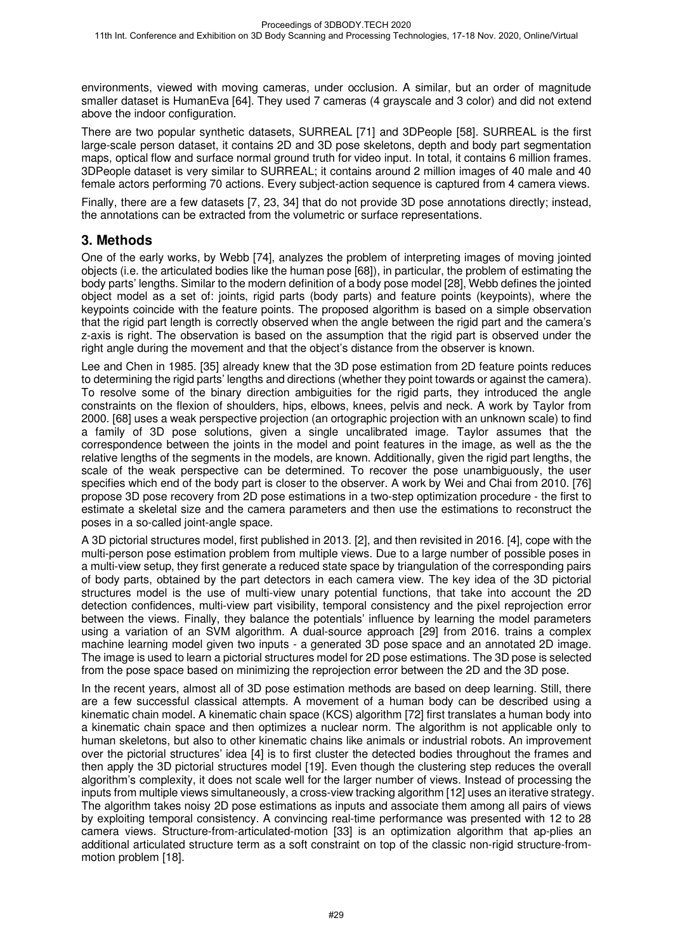environments, viewed with moving cameras, under occlusion. A similar, but an order of magnitude smaller dataset is HumanEva [64]. They used 7 cameras (4 grayscale and 3 color) and did not extend above the indoor configuration.

There are two popular synthetic datasets, SURREAL [71] and 3DPeople [58]. SURREAL is the first large-scale person dataset, it contains 2D and 3D pose skeletons, depth and body part segmentation maps, optical flow and surface normal ground truth for video input. In total, it contains 6 million frames. 3DPeople dataset is very similar to SURREAL; it contains around 2 million images of 40 male and 40 female actors performing 70 actions. Every subject-action sequence is captured from 4 camera views.

Finally, there are a few datasets [7, 23, 34] that do not provide 3D pose annotations directly; instead, the annotations can be extracted from the volumetric or surface representations.

#### **3. Methods**

One of the early works, by Webb [74], analyzes the problem of interpreting images of moving jointed objects (i.e. the articulated bodies like the human pose [68]), in particular, the problem of estimating the body parts' lengths. Similar to the modern definition of a body pose model [28], Webb defines the jointed object model as a set of: joints, rigid parts (body parts) and feature points (keypoints), where the keypoints coincide with the feature points. The proposed algorithm is based on a simple observation that the rigid part length is correctly observed when the angle between the rigid part and the camera's z-axis is right. The observation is based on the assumption that the rigid part is observed under the right angle during the movement and that the object's distance from the observer is known.

Lee and Chen in 1985. [35] already knew that the 3D pose estimation from 2D feature points reduces to determining the rigid parts' lengths and directions (whether they point towards or against the camera). To resolve some of the binary direction ambiguities for the rigid parts, they introduced the angle constraints on the flexion of shoulders, hips, elbows, knees, pelvis and neck. A work by Taylor from 2000. [68] uses a weak perspective projection (an ortographic projection with an unknown scale) to find a family of 3D pose solutions, given a single uncalibrated image. Taylor assumes that the correspondence between the joints in the model and point features in the image, as well as the the relative lengths of the segments in the models, are known. Additionally, given the rigid part lengths, the scale of the weak perspective can be determined. To recover the pose unambiguously, the user specifies which end of the body part is closer to the observer. A work by Wei and Chai from 2010. [76] propose 3D pose recovery from 2D pose estimations in a two-step optimization procedure - the first to estimate a skeletal size and the camera parameters and then use the estimations to reconstruct the poses in a so-called joint-angle space.

A 3D pictorial structures model, first published in 2013. [2], and then revisited in 2016. [4], cope with the multi-person pose estimation problem from multiple views. Due to a large number of possible poses in a multi-view setup, they first generate a reduced state space by triangulation of the corresponding pairs of body parts, obtained by the part detectors in each camera view. The key idea of the 3D pictorial structures model is the use of multi-view unary potential functions, that take into account the 2D detection confidences, multi-view part visibility, temporal consistency and the pixel reprojection error between the views. Finally, they balance the potentials' influence by learning the model parameters using a variation of an SVM algorithm. A dual-source approach [29] from 2016. trains a complex machine learning model given two inputs - a generated 3D pose space and an annotated 2D image. The image is used to learn a pictorial structures model for 2D pose estimations. The 3D pose is selected from the pose space based on minimizing the reprojection error between the 2D and the 3D pose.

In the recent years, almost all of 3D pose estimation methods are based on deep learning. Still, there are a few successful classical attempts. A movement of a human body can be described using a kinematic chain model. A kinematic chain space (KCS) algorithm [72] first translates a human body into a kinematic chain space and then optimizes a nuclear norm. The algorithm is not applicable only to human skeletons, but also to other kinematic chains like animals or industrial robots. An improvement over the pictorial structures' idea [4] is to first cluster the detected bodies throughout the frames and then apply the 3D pictorial structures model [19]. Even though the clustering step reduces the overall algorithm's complexity, it does not scale well for the larger number of views. Instead of processing the inputs from multiple views simultaneously, a cross-view tracking algorithm [12] uses an iterative strategy. The algorithm takes noisy 2D pose estimations as inputs and associate them among all pairs of views by exploiting temporal consistency. A convincing real-time performance was presented with 12 to 28 camera views. Structure-from-articulated-motion [33] is an optimization algorithm that ap-plies an additional articulated structure term as a soft constraint on top of the classic non-rigid structure-frommotion problem [18].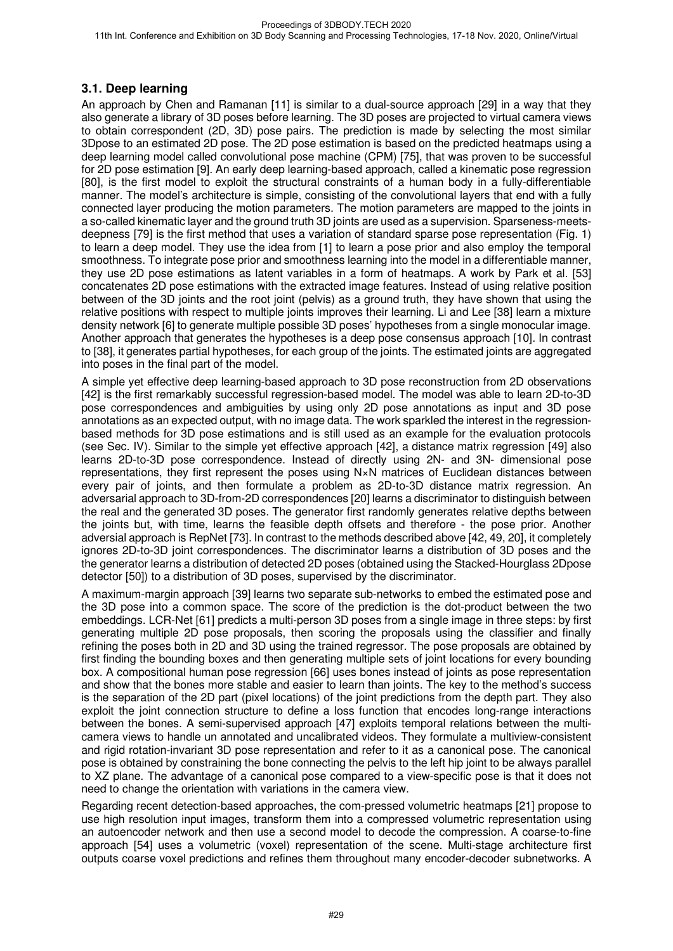#### **3.1. Deep learning**

An approach by Chen and Ramanan [11] is similar to a dual-source approach [29] in a way that they also generate a library of 3D poses before learning. The 3D poses are projected to virtual camera views to obtain correspondent (2D, 3D) pose pairs. The prediction is made by selecting the most similar 3Dpose to an estimated 2D pose. The 2D pose estimation is based on the predicted heatmaps using a deep learning model called convolutional pose machine (CPM) [75], that was proven to be successful for 2D pose estimation [9]. An early deep learning-based approach, called a kinematic pose regression [80], is the first model to exploit the structural constraints of a human body in a fully-differentiable manner. The model's architecture is simple, consisting of the convolutional layers that end with a fully connected layer producing the motion parameters. The motion parameters are mapped to the joints in a so-called kinematic layer and the ground truth 3D joints are used as a supervision. Sparseness-meetsdeepness [79] is the first method that uses a variation of standard sparse pose representation (Fig. 1) to learn a deep model. They use the idea from [1] to learn a pose prior and also employ the temporal smoothness. To integrate pose prior and smoothness learning into the model in a differentiable manner, they use 2D pose estimations as latent variables in a form of heatmaps. A work by Park et al. [53] concatenates 2D pose estimations with the extracted image features. Instead of using relative position between of the 3D joints and the root joint (pelvis) as a ground truth, they have shown that using the relative positions with respect to multiple joints improves their learning. Li and Lee [38] learn a mixture density network [6] to generate multiple possible 3D poses' hypotheses from a single monocular image. Another approach that generates the hypotheses is a deep pose consensus approach [10]. In contrast to [38], it generates partial hypotheses, for each group of the joints. The estimated joints are aggregated into poses in the final part of the model.

A simple yet effective deep learning-based approach to 3D pose reconstruction from 2D observations [42] is the first remarkably successful regression-based model. The model was able to learn 2D-to-3D pose correspondences and ambiguities by using only 2D pose annotations as input and 3D pose annotations as an expected output, with no image data. The work sparkled the interest in the regressionbased methods for 3D pose estimations and is still used as an example for the evaluation protocols (see Sec. IV). Similar to the simple yet effective approach [42], a distance matrix regression [49] also learns 2D-to-3D pose correspondence. Instead of directly using 2N- and 3N- dimensional pose representations, they first represent the poses using N×N matrices of Euclidean distances between every pair of joints, and then formulate a problem as 2D-to-3D distance matrix regression. An adversarial approach to 3D-from-2D correspondences [20] learns a discriminator to distinguish between the real and the generated 3D poses. The generator first randomly generates relative depths between the joints but, with time, learns the feasible depth offsets and therefore - the pose prior. Another adversial approach is RepNet [73]. In contrast to the methods described above [42, 49, 20], it completely ignores 2D-to-3D joint correspondences. The discriminator learns a distribution of 3D poses and the the generator learns a distribution of detected 2D poses (obtained using the Stacked-Hourglass 2Dpose detector [50]) to a distribution of 3D poses, supervised by the discriminator.

A maximum-margin approach [39] learns two separate sub-networks to embed the estimated pose and the 3D pose into a common space. The score of the prediction is the dot-product between the two embeddings. LCR-Net [61] predicts a multi-person 3D poses from a single image in three steps: by first generating multiple 2D pose proposals, then scoring the proposals using the classifier and finally refining the poses both in 2D and 3D using the trained regressor. The pose proposals are obtained by first finding the bounding boxes and then generating multiple sets of joint locations for every bounding box. A compositional human pose regression [66] uses bones instead of joints as pose representation and show that the bones more stable and easier to learn than joints. The key to the method's success is the separation of the 2D part (pixel locations) of the joint predictions from the depth part. They also exploit the joint connection structure to define a loss function that encodes long-range interactions between the bones. A semi-supervised approach [47] exploits temporal relations between the multicamera views to handle un annotated and uncalibrated videos. They formulate a multiview-consistent and rigid rotation-invariant 3D pose representation and refer to it as a canonical pose. The canonical pose is obtained by constraining the bone connecting the pelvis to the left hip joint to be always parallel to XZ plane. The advantage of a canonical pose compared to a view-specific pose is that it does not need to change the orientation with variations in the camera view.

Regarding recent detection-based approaches, the com-pressed volumetric heatmaps [21] propose to use high resolution input images, transform them into a compressed volumetric representation using an autoencoder network and then use a second model to decode the compression. A coarse-to-fine approach [54] uses a volumetric (voxel) representation of the scene. Multi-stage architecture first outputs coarse voxel predictions and refines them throughout many encoder-decoder subnetworks. A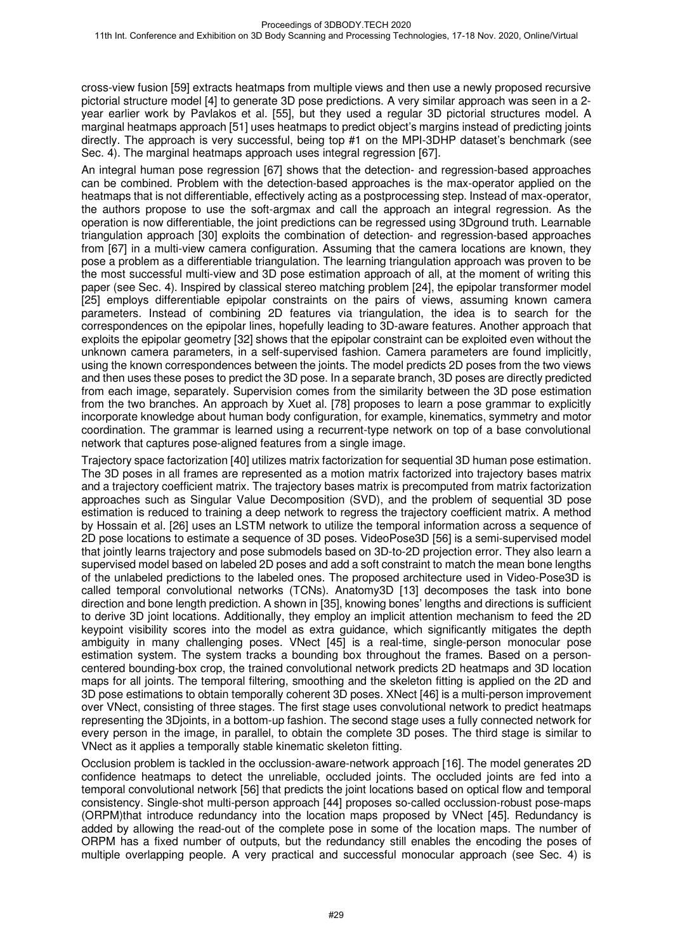cross-view fusion [59] extracts heatmaps from multiple views and then use a newly proposed recursive pictorial structure model [4] to generate 3D pose predictions. A very similar approach was seen in a 2 year earlier work by Pavlakos et al. [55], but they used a regular 3D pictorial structures model. A marginal heatmaps approach [51] uses heatmaps to predict object's margins instead of predicting joints directly. The approach is very successful, being top #1 on the MPI-3DHP dataset's benchmark (see Sec. 4). The marginal heatmaps approach uses integral regression [67].

An integral human pose regression [67] shows that the detection- and regression-based approaches can be combined. Problem with the detection-based approaches is the max-operator applied on the heatmaps that is not differentiable, effectively acting as a postprocessing step. Instead of max-operator, the authors propose to use the soft-argmax and call the approach an integral regression. As the operation is now differentiable, the joint predictions can be regressed using 3Dground truth. Learnable triangulation approach [30] exploits the combination of detection- and regression-based approaches from [67] in a multi-view camera configuration. Assuming that the camera locations are known, they pose a problem as a differentiable triangulation. The learning triangulation approach was proven to be the most successful multi-view and 3D pose estimation approach of all, at the moment of writing this paper (see Sec. 4). Inspired by classical stereo matching problem [24], the epipolar transformer model [25] employs differentiable epipolar constraints on the pairs of views, assuming known camera parameters. Instead of combining 2D features via triangulation, the idea is to search for the correspondences on the epipolar lines, hopefully leading to 3D-aware features. Another approach that exploits the epipolar geometry [32] shows that the epipolar constraint can be exploited even without the unknown camera parameters, in a self-supervised fashion. Camera parameters are found implicitly, using the known correspondences between the joints. The model predicts 2D poses from the two views and then uses these poses to predict the 3D pose. In a separate branch, 3D poses are directly predicted from each image, separately. Supervision comes from the similarity between the 3D pose estimation from the two branches. An approach by Xuet al. [78] proposes to learn a pose grammar to explicitly incorporate knowledge about human body configuration, for example, kinematics, symmetry and motor coordination. The grammar is learned using a recurrent-type network on top of a base convolutional network that captures pose-aligned features from a single image.

Trajectory space factorization [40] utilizes matrix factorization for sequential 3D human pose estimation. The 3D poses in all frames are represented as a motion matrix factorized into trajectory bases matrix and a trajectory coefficient matrix. The trajectory bases matrix is precomputed from matrix factorization approaches such as Singular Value Decomposition (SVD), and the problem of sequential 3D pose estimation is reduced to training a deep network to regress the trajectory coefficient matrix. A method by Hossain et al. [26] uses an LSTM network to utilize the temporal information across a sequence of 2D pose locations to estimate a sequence of 3D poses. VideoPose3D [56] is a semi-supervised model that jointly learns trajectory and pose submodels based on 3D-to-2D projection error. They also learn a supervised model based on labeled 2D poses and add a soft constraint to match the mean bone lengths of the unlabeled predictions to the labeled ones. The proposed architecture used in Video-Pose3D is called temporal convolutional networks (TCNs). Anatomy3D [13] decomposes the task into bone direction and bone length prediction. A shown in [35], knowing bones' lengths and directions is sufficient to derive 3D joint locations. Additionally, they employ an implicit attention mechanism to feed the 2D keypoint visibility scores into the model as extra guidance, which significantly mitigates the depth ambiguity in many challenging poses. VNect [45] is a real-time, single-person monocular pose estimation system. The system tracks a bounding box throughout the frames. Based on a personcentered bounding-box crop, the trained convolutional network predicts 2D heatmaps and 3D location maps for all joints. The temporal filtering, smoothing and the skeleton fitting is applied on the 2D and 3D pose estimations to obtain temporally coherent 3D poses. XNect [46] is a multi-person improvement over VNect, consisting of three stages. The first stage uses convolutional network to predict heatmaps representing the 3Djoints, in a bottom-up fashion. The second stage uses a fully connected network for every person in the image, in parallel, to obtain the complete 3D poses. The third stage is similar to VNect as it applies a temporally stable kinematic skeleton fitting.

Occlusion problem is tackled in the occlussion-aware-network approach [16]. The model generates 2D confidence heatmaps to detect the unreliable, occluded joints. The occluded joints are fed into a temporal convolutional network [56] that predicts the joint locations based on optical flow and temporal consistency. Single-shot multi-person approach [44] proposes so-called occlussion-robust pose-maps (ORPM)that introduce redundancy into the location maps proposed by VNect [45]. Redundancy is added by allowing the read-out of the complete pose in some of the location maps. The number of ORPM has a fixed number of outputs, but the redundancy still enables the encoding the poses of multiple overlapping people. A very practical and successful monocular approach (see Sec. 4) is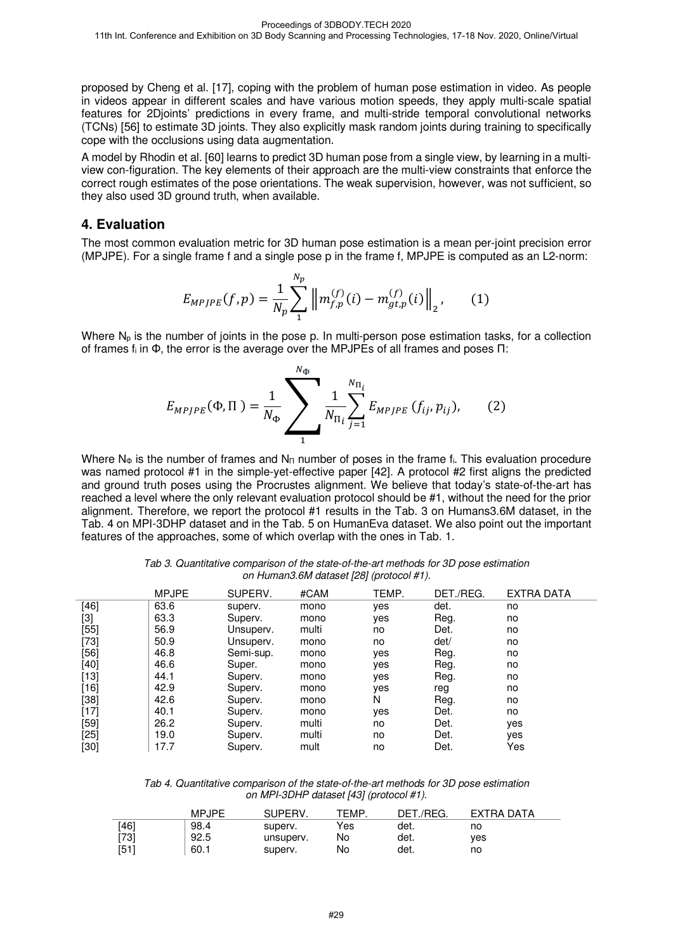proposed by Cheng et al. [17], coping with the problem of human pose estimation in video. As people in videos appear in different scales and have various motion speeds, they apply multi-scale spatial features for 2Djoints' predictions in every frame, and multi-stride temporal convolutional networks (TCNs) [56] to estimate 3D joints. They also explicitly mask random joints during training to specifically cope with the occlusions using data augmentation.

A model by Rhodin et al. [60] learns to predict 3D human pose from a single view, by learning in a multiview con-figuration. The key elements of their approach are the multi-view constraints that enforce the correct rough estimates of the pose orientations. The weak supervision, however, was not sufficient, so they also used 3D ground truth, when available.

#### **4. Evaluation**

The most common evaluation metric for 3D human pose estimation is a mean per-joint precision error (MPJPE). For a single frame f and a single pose p in the frame f, MPJPE is computed as an L2-norm:

$$
E_{MPJPE}(f,p) = \frac{1}{N_p} \sum_{1}^{N_p} \left\| m_{f,p}^{(f)}(i) - m_{gt,p}^{(f)}(i) \right\|_2, \qquad (1)
$$

Where  $N_p$  is the number of joints in the pose p. In multi-person pose estimation tasks, for a collection of frames fi in Φ, the error is the average over the MPJPEs of all frames and poses Π:

$$
E_{MPJPE}(\Phi,\Pi) = \frac{1}{N_{\Phi}} \sum_{1}^{N_{\Phi}} \frac{1}{N_{\Pi_{i}}} \sum_{j=1}^{N_{\Pi_{i}}} E_{MPJPE} (f_{ij}, p_{ij}), \qquad (2)
$$

Where N<sub>Φ</sub> is the number of frames and N<sub>Π</sub> number of poses in the frame f<sub>i</sub>. This evaluation procedure was named protocol #1 in the simple-yet-effective paper [42]. A protocol #2 first aligns the predicted and ground truth poses using the Procrustes alignment. We believe that today's state-of-the-art has reached a level where the only relevant evaluation protocol should be #1, without the need for the prior alignment. Therefore, we report the protocol #1 results in the Tab. 3 on Humans3.6M dataset, in the Tab. 4 on MPI-3DHP dataset and in the Tab. 5 on HumanEva dataset. We also point out the important features of the approaches, some of which overlap with the ones in Tab. 1.

Tab 3. Quantitative comparison of the state-of-the-art methods for 3D pose estimation on Human3.6M dataset [28] (protocol #1).

|        | <b>MPJPE</b> | SUPERV.   | #CAM  | TEMP. | DET./REG. | <b>EXTRA DATA</b> |
|--------|--------------|-----------|-------|-------|-----------|-------------------|
| $[46]$ | 63.6         | superv.   | mono  | yes   | det.      | no                |
| [3]    | 63.3         | Superv.   | mono  | yes   | Reg.      | no                |
| $[55]$ | 56.9         | Unsuperv. | multi | no    | Det.      | no                |
| $[73]$ | 50.9         | Unsuperv. | mono  | no    | det/      | no                |
| [56]   | 46.8         | Semi-sup. | mono  | yes   | Reg.      | no                |
| $[40]$ | 46.6         | Super.    | mono  | yes   | Reg.      | no                |
| $[13]$ | 44.1         | Superv.   | mono  | yes   | Reg.      | no                |
| $[16]$ | 42.9         | Superv.   | mono  | yes   | reg       | no                |
| $[38]$ | 42.6         | Superv.   | mono  | N     | Reg.      | no                |
| $[17]$ | 40.1         | Superv.   | mono  | yes   | Det.      | no                |
| $[59]$ | 26.2         | Superv.   | multi | no    | Det.      | yes               |
| $[25]$ | 19.0         | Superv.   | multi | no    | Det.      | yes               |
| [30]   | 17.7         | Superv.   | mult  | no    | Det.      | Yes               |

Tab 4. Quantitative comparison of the state-of-the-art methods for 3D pose estimation on MPI-3DHP dataset [43] (protocol #1).

|      | MPJPE | SUPERV.   | TEMP | DET./REG. | EXTRA DATA |
|------|-------|-----------|------|-----------|------------|
| [46] | 98.4  | superv.   | Yes  | det.      | no         |
| [73] | 92.5  | unsuperv. | No   | det.      | ves        |
| [51] | 60.1  | superv.   | No   | det.      | no         |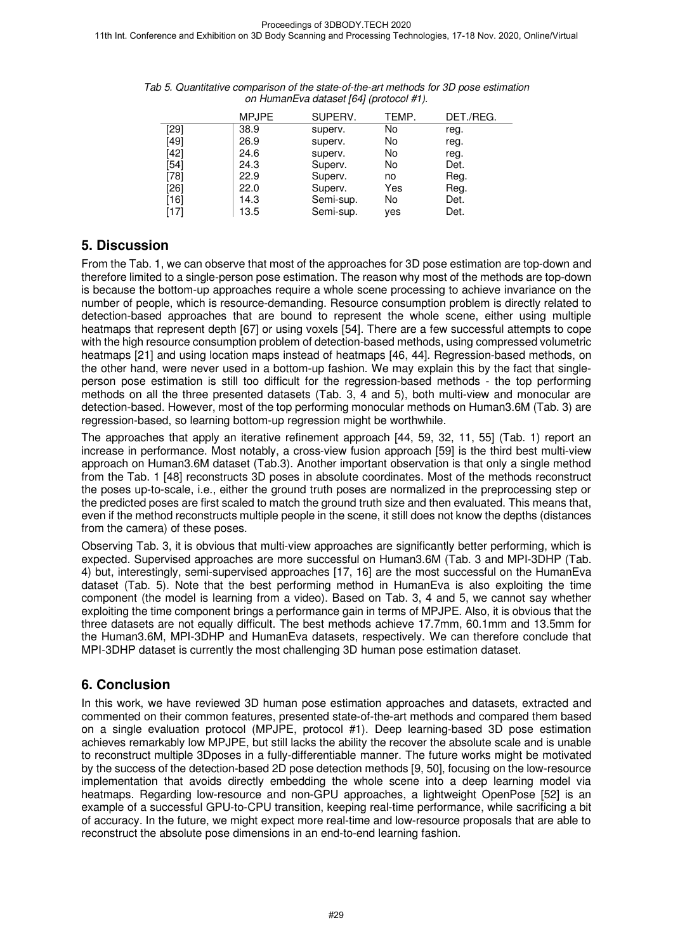|        | <b>MPJPE</b> | SUPERV.   | TEMP. | DET./REG. |
|--------|--------------|-----------|-------|-----------|
| [29]   | 38.9         | superv.   | No    | reg.      |
| $[49]$ | 26.9         | superv.   | No    | reg.      |
| $[42]$ | 24.6         | superv.   | No    | reg.      |
| $[54]$ | 24.3         | Superv.   | No    | Det.      |
| $[78]$ | 22.9         | Superv.   | no    | Reg.      |
| $[26]$ | 22.0         | Superv.   | Yes   | Reg.      |
| [16]   | 14.3         | Semi-sup. | No    | Det.      |
| [17]   | 13.5         | Semi-sup. | yes   | Det.      |

Tab 5. Quantitative comparison of the state-of-the-art methods for 3D pose estimation on HumanEva dataset [64] (protocol #1).

# **5. Discussion**

From the Tab. 1, we can observe that most of the approaches for 3D pose estimation are top-down and therefore limited to a single-person pose estimation. The reason why most of the methods are top-down is because the bottom-up approaches require a whole scene processing to achieve invariance on the number of people, which is resource-demanding. Resource consumption problem is directly related to detection-based approaches that are bound to represent the whole scene, either using multiple heatmaps that represent depth [67] or using voxels [54]. There are a few successful attempts to cope with the high resource consumption problem of detection-based methods, using compressed volumetric heatmaps [21] and using location maps instead of heatmaps [46, 44]. Regression-based methods, on the other hand, were never used in a bottom-up fashion. We may explain this by the fact that singleperson pose estimation is still too difficult for the regression-based methods - the top performing methods on all the three presented datasets (Tab. 3, 4 and 5), both multi-view and monocular are detection-based. However, most of the top performing monocular methods on Human3.6M (Tab. 3) are regression-based, so learning bottom-up regression might be worthwhile.

The approaches that apply an iterative refinement approach [44, 59, 32, 11, 55] (Tab. 1) report an increase in performance. Most notably, a cross-view fusion approach [59] is the third best multi-view approach on Human3.6M dataset (Tab.3). Another important observation is that only a single method from the Tab. 1 [48] reconstructs 3D poses in absolute coordinates. Most of the methods reconstruct the poses up-to-scale, i.e., either the ground truth poses are normalized in the preprocessing step or the predicted poses are first scaled to match the ground truth size and then evaluated. This means that, even if the method reconstructs multiple people in the scene, it still does not know the depths (distances from the camera) of these poses.

Observing Tab. 3, it is obvious that multi-view approaches are significantly better performing, which is expected. Supervised approaches are more successful on Human3.6M (Tab. 3 and MPI-3DHP (Tab. 4) but, interestingly, semi-supervised approaches [17, 16] are the most successful on the HumanEva dataset (Tab. 5). Note that the best performing method in HumanEva is also exploiting the time component (the model is learning from a video). Based on Tab. 3, 4 and 5, we cannot say whether exploiting the time component brings a performance gain in terms of MPJPE. Also, it is obvious that the three datasets are not equally difficult. The best methods achieve 17.7mm, 60.1mm and 13.5mm for the Human3.6M, MPI-3DHP and HumanEva datasets, respectively. We can therefore conclude that MPI-3DHP dataset is currently the most challenging 3D human pose estimation dataset.

# **6. Conclusion**

In this work, we have reviewed 3D human pose estimation approaches and datasets, extracted and commented on their common features, presented state-of-the-art methods and compared them based on a single evaluation protocol (MPJPE, protocol #1). Deep learning-based 3D pose estimation achieves remarkably low MPJPE, but still lacks the ability the recover the absolute scale and is unable to reconstruct multiple 3Dposes in a fully-differentiable manner. The future works might be motivated by the success of the detection-based 2D pose detection methods [9, 50], focusing on the low-resource implementation that avoids directly embedding the whole scene into a deep learning model via heatmaps. Regarding low-resource and non-GPU approaches, a lightweight OpenPose [52] is an example of a successful GPU-to-CPU transition, keeping real-time performance, while sacrificing a bit of accuracy. In the future, we might expect more real-time and low-resource proposals that are able to reconstruct the absolute pose dimensions in an end-to-end learning fashion.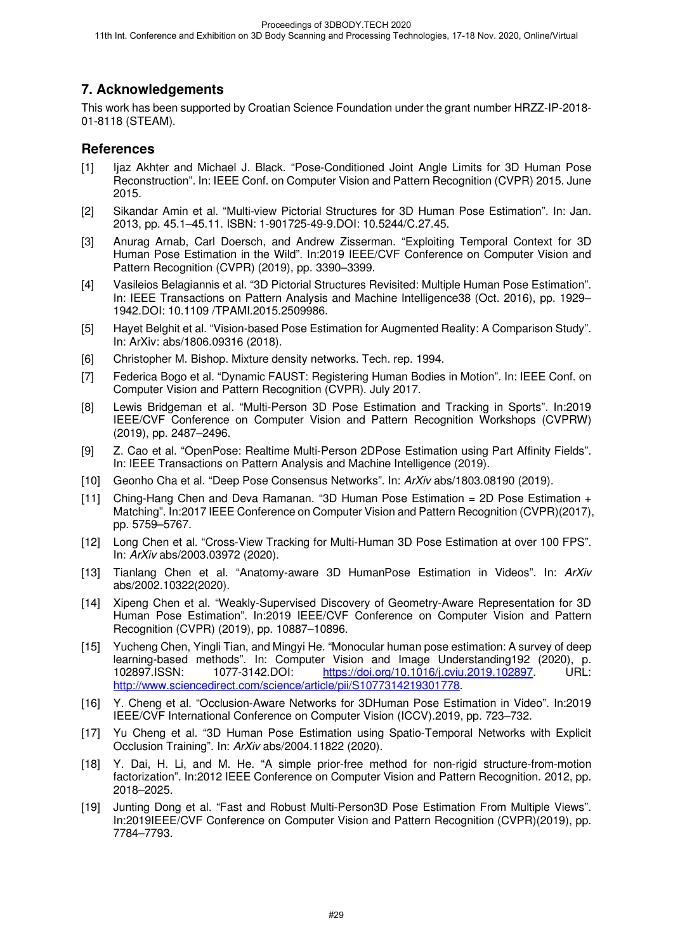# **7. Acknowledgements**

This work has been supported by Croatian Science Foundation under the grant number HRZZ-IP-2018- 01-8118 (STEAM).

### **References**

- [1] Ijaz Akhter and Michael J. Black. "Pose-Conditioned Joint Angle Limits for 3D Human Pose Reconstruction". In: IEEE Conf. on Computer Vision and Pattern Recognition (CVPR) 2015. June 2015.
- [2] Sikandar Amin et al. "Multi-view Pictorial Structures for 3D Human Pose Estimation". In: Jan. 2013, pp. 45.1–45.11. ISBN: 1-901725-49-9.DOI: 10.5244/C.27.45.
- [3] Anurag Arnab, Carl Doersch, and Andrew Zisserman. "Exploiting Temporal Context for 3D Human Pose Estimation in the Wild". In:2019 IEEE/CVF Conference on Computer Vision and Pattern Recognition (CVPR) (2019), pp. 3390–3399.
- [4] Vasileios Belagiannis et al. "3D Pictorial Structures Revisited: Multiple Human Pose Estimation". In: IEEE Transactions on Pattern Analysis and Machine Intelligence38 (Oct. 2016), pp. 1929– 1942.DOI: 10.1109 /TPAMI.2015.2509986.
- [5] Hayet Belghit et al. "Vision-based Pose Estimation for Augmented Reality: A Comparison Study". In: ArXiv: abs/1806.09316 (2018).
- [6] Christopher M. Bishop. Mixture density networks. Tech. rep. 1994.
- [7] Federica Bogo et al. "Dynamic FAUST: Registering Human Bodies in Motion". In: IEEE Conf. on Computer Vision and Pattern Recognition (CVPR). July 2017.
- [8] Lewis Bridgeman et al. "Multi-Person 3D Pose Estimation and Tracking in Sports". In:2019 IEEE/CVF Conference on Computer Vision and Pattern Recognition Workshops (CVPRW) (2019), pp. 2487–2496.
- [9] Z. Cao et al. "OpenPose: Realtime Multi-Person 2DPose Estimation using Part Affinity Fields". In: IEEE Transactions on Pattern Analysis and Machine Intelligence (2019).
- [10] Geonho Cha et al. "Deep Pose Consensus Networks". In: ArXiv abs/1803.08190 (2019).
- [11] Ching-Hang Chen and Deva Ramanan. "3D Human Pose Estimation = 2D Pose Estimation + Matching". In:2017 IEEE Conference on Computer Vision and Pattern Recognition (CVPR)(2017), pp. 5759–5767.
- [12] Long Chen et al. "Cross-View Tracking for Multi-Human 3D Pose Estimation at over 100 FPS". In: ArXiv abs/2003.03972 (2020).
- [13] Tianlang Chen et al. "Anatomy-aware 3D HumanPose Estimation in Videos". In: ArXiv abs/2002.10322(2020).
- [14] Xipeng Chen et al. "Weakly-Supervised Discovery of Geometry-Aware Representation for 3D Human Pose Estimation". In:2019 IEEE/CVF Conference on Computer Vision and Pattern Recognition (CVPR) (2019), pp. 10887–10896.
- [15] Yucheng Chen, Yingli Tian, and Mingyi He. "Monocular human pose estimation: A survey of deep learning-based methods". In: Computer Vision and Image Understanding192 (2020), p. 102897.ISSN: 1077-3142.DOI: https://doi.org/10.1016/j.cviu.2019.102897. URL: http://www.sciencedirect.com/science/article/pii/S1077314219301778.
- [16] Y. Cheng et al. "Occlusion-Aware Networks for 3DHuman Pose Estimation in Video". In:2019 IEEE/CVF International Conference on Computer Vision (ICCV).2019, pp. 723–732.
- [17] Yu Cheng et al. "3D Human Pose Estimation using Spatio-Temporal Networks with Explicit Occlusion Training". In: ArXiv abs/2004.11822 (2020).
- [18] Y. Dai, H. Li, and M. He. "A simple prior-free method for non-rigid structure-from-motion factorization". In:2012 IEEE Conference on Computer Vision and Pattern Recognition. 2012, pp. 2018–2025.
- [19] Junting Dong et al. "Fast and Robust Multi-Person3D Pose Estimation From Multiple Views". In:2019IEEE/CVF Conference on Computer Vision and Pattern Recognition (CVPR)(2019), pp. 7784–7793.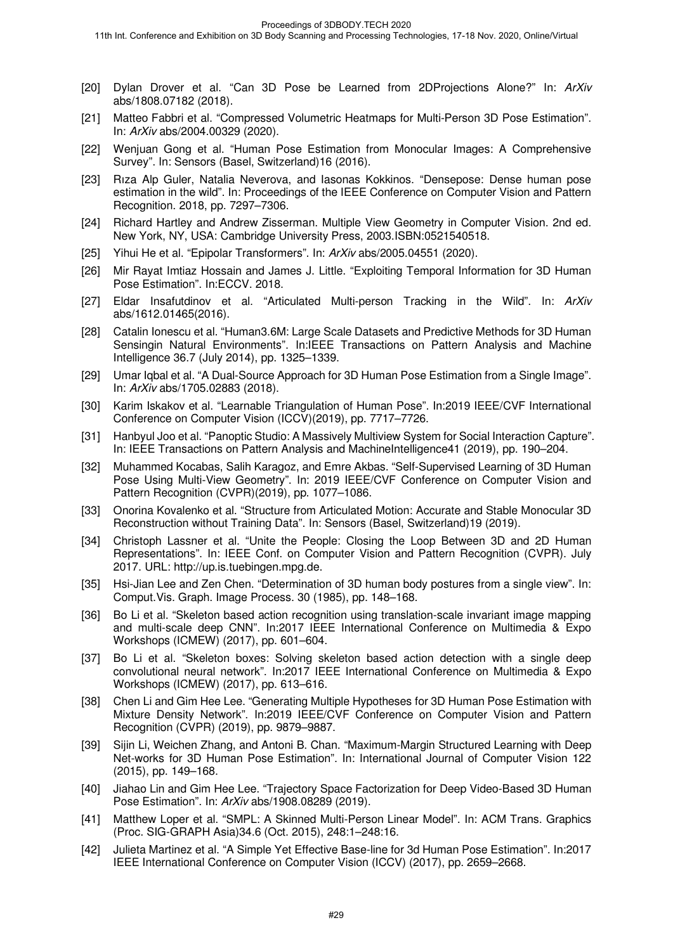- [20] Dylan Drover et al. "Can 3D Pose be Learned from 2DProjections Alone?" In: ArXiv abs/1808.07182 (2018).
- [21] Matteo Fabbri et al. "Compressed Volumetric Heatmaps for Multi-Person 3D Pose Estimation". In: ArXiv abs/2004.00329 (2020).
- [22] Wenjuan Gong et al. "Human Pose Estimation from Monocular Images: A Comprehensive Survey". In: Sensors (Basel, Switzerland)16 (2016).
- [23] Rıza Alp Guler, Natalia Neverova, and Iasonas Kokkinos. "Densepose: Dense human pose estimation in the wild". In: Proceedings of the IEEE Conference on Computer Vision and Pattern Recognition. 2018, pp. 7297–7306.
- [24] Richard Hartley and Andrew Zisserman. Multiple View Geometry in Computer Vision. 2nd ed. New York, NY, USA: Cambridge University Press, 2003.ISBN:0521540518.
- [25] Yihui He et al. "Epipolar Transformers". In: ArXiv abs/2005.04551 (2020).
- [26] Mir Rayat Imtiaz Hossain and James J. Little. "Exploiting Temporal Information for 3D Human Pose Estimation". In:ECCV. 2018.
- [27] Eldar Insafutdinov et al. "Articulated Multi-person Tracking in the Wild". In: ArXiv abs/1612.01465(2016).
- [28] Catalin Ionescu et al. "Human3.6M: Large Scale Datasets and Predictive Methods for 3D Human Sensingin Natural Environments". In:IEEE Transactions on Pattern Analysis and Machine Intelligence 36.7 (July 2014), pp. 1325–1339.
- [29] Umar Iqbal et al. "A Dual-Source Approach for 3D Human Pose Estimation from a Single Image". In: ArXiv abs/1705.02883 (2018).
- [30] Karim Iskakov et al. "Learnable Triangulation of Human Pose". In:2019 IEEE/CVF International Conference on Computer Vision (ICCV)(2019), pp. 7717–7726.
- [31] Hanbyul Joo et al. "Panoptic Studio: A Massively Multiview System for Social Interaction Capture". In: IEEE Transactions on Pattern Analysis and MachineIntelligence41 (2019), pp. 190–204.
- [32] Muhammed Kocabas, Salih Karagoz, and Emre Akbas. "Self-Supervised Learning of 3D Human Pose Using Multi-View Geometry". In: 2019 IEEE/CVF Conference on Computer Vision and Pattern Recognition (CVPR)(2019), pp. 1077–1086.
- [33] Onorina Kovalenko et al. "Structure from Articulated Motion: Accurate and Stable Monocular 3D Reconstruction without Training Data". In: Sensors (Basel, Switzerland)19 (2019).
- [34] Christoph Lassner et al. "Unite the People: Closing the Loop Between 3D and 2D Human Representations". In: IEEE Conf. on Computer Vision and Pattern Recognition (CVPR). July 2017. URL: http://up.is.tuebingen.mpg.de.
- [35] Hsi-Jian Lee and Zen Chen. "Determination of 3D human body postures from a single view". In: Comput.Vis. Graph. Image Process. 30 (1985), pp. 148–168.
- [36] Bo Li et al. "Skeleton based action recognition using translation-scale invariant image mapping and multi-scale deep CNN". In:2017 IEEE International Conference on Multimedia & Expo Workshops (ICMEW) (2017), pp. 601–604.
- [37] Bo Li et al. "Skeleton boxes: Solving skeleton based action detection with a single deep convolutional neural network". In:2017 IEEE International Conference on Multimedia & Expo Workshops (ICMEW) (2017), pp. 613–616.
- [38] Chen Li and Gim Hee Lee. "Generating Multiple Hypotheses for 3D Human Pose Estimation with Mixture Density Network". In:2019 IEEE/CVF Conference on Computer Vision and Pattern Recognition (CVPR) (2019), pp. 9879–9887.
- [39] Sijin Li, Weichen Zhang, and Antoni B. Chan. "Maximum-Margin Structured Learning with Deep Net-works for 3D Human Pose Estimation". In: International Journal of Computer Vision 122 (2015), pp. 149–168.
- [40] Jiahao Lin and Gim Hee Lee. "Trajectory Space Factorization for Deep Video-Based 3D Human Pose Estimation". In: ArXiv abs/1908.08289 (2019).
- [41] Matthew Loper et al. "SMPL: A Skinned Multi-Person Linear Model". In: ACM Trans. Graphics (Proc. SIG-GRAPH Asia)34.6 (Oct. 2015), 248:1–248:16.
- [42] Julieta Martinez et al. "A Simple Yet Effective Base-line for 3d Human Pose Estimation". In:2017 IEEE International Conference on Computer Vision (ICCV) (2017), pp. 2659–2668.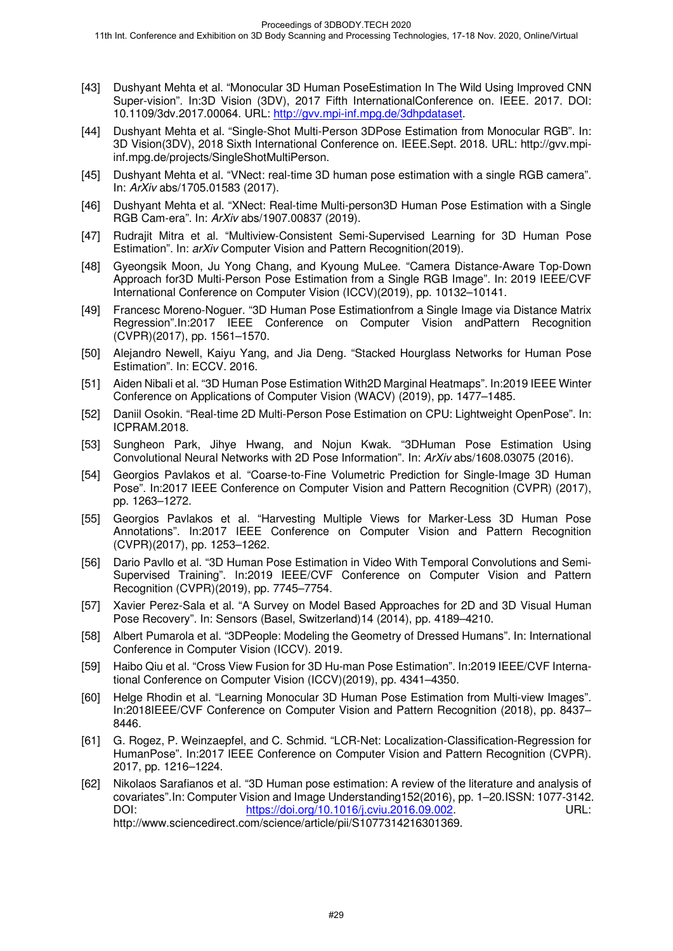- [43] Dushyant Mehta et al. "Monocular 3D Human PoseEstimation In The Wild Using Improved CNN Super-vision". In:3D Vision (3DV), 2017 Fifth InternationalConference on. IEEE. 2017. DOI: 10.1109/3dv.2017.00064. URL: http://gvv.mpi-inf.mpg.de/3dhpdataset.
- [44] Dushyant Mehta et al. "Single-Shot Multi-Person 3DPose Estimation from Monocular RGB". In: 3D Vision(3DV), 2018 Sixth International Conference on. IEEE.Sept. 2018. URL: http://gvv.mpiinf.mpg.de/projects/SingleShotMultiPerson.
- [45] Dushyant Mehta et al. "VNect: real-time 3D human pose estimation with a single RGB camera". In: ArXiv abs/1705.01583 (2017).
- [46] Dushyant Mehta et al. "XNect: Real-time Multi-person3D Human Pose Estimation with a Single RGB Cam-era". In: ArXiv abs/1907.00837 (2019).
- [47] Rudrajit Mitra et al. "Multiview-Consistent Semi-Supervised Learning for 3D Human Pose Estimation". In: *arXiv* Computer Vision and Pattern Recognition(2019).
- [48] Gyeongsik Moon, Ju Yong Chang, and Kyoung MuLee. "Camera Distance-Aware Top-Down Approach for3D Multi-Person Pose Estimation from a Single RGB Image". In: 2019 IEEE/CVF International Conference on Computer Vision (ICCV)(2019), pp. 10132–10141.
- [49] Francesc Moreno-Noguer. "3D Human Pose Estimationfrom a Single Image via Distance Matrix Regression".In:2017 IEEE Conference on Computer Vision andPattern Recognition (CVPR)(2017), pp. 1561–1570.
- [50] Alejandro Newell, Kaiyu Yang, and Jia Deng. "Stacked Hourglass Networks for Human Pose Estimation". In: ECCV. 2016.
- [51] Aiden Nibali et al. "3D Human Pose Estimation With2D Marginal Heatmaps". In:2019 IEEE Winter Conference on Applications of Computer Vision (WACV) (2019), pp. 1477–1485.
- [52] Daniil Osokin. "Real-time 2D Multi-Person Pose Estimation on CPU: Lightweight OpenPose". In: ICPRAM.2018.
- [53] Sungheon Park, Jihye Hwang, and Nojun Kwak. "3DHuman Pose Estimation Using Convolutional Neural Networks with 2D Pose Information". In: ArXiv abs/1608.03075 (2016).
- [54] Georgios Pavlakos et al. "Coarse-to-Fine Volumetric Prediction for Single-Image 3D Human Pose". In:2017 IEEE Conference on Computer Vision and Pattern Recognition (CVPR) (2017), pp. 1263–1272.
- [55] Georgios Pavlakos et al. "Harvesting Multiple Views for Marker-Less 3D Human Pose Annotations". In:2017 IEEE Conference on Computer Vision and Pattern Recognition (CVPR)(2017), pp. 1253–1262.
- [56] Dario Pavllo et al. "3D Human Pose Estimation in Video With Temporal Convolutions and Semi-Supervised Training". In:2019 IEEE/CVF Conference on Computer Vision and Pattern Recognition (CVPR)(2019), pp. 7745–7754.
- [57] Xavier Perez-Sala et al. "A Survey on Model Based Approaches for 2D and 3D Visual Human Pose Recovery". In: Sensors (Basel, Switzerland)14 (2014), pp. 4189–4210.
- [58] Albert Pumarola et al. "3DPeople: Modeling the Geometry of Dressed Humans". In: International Conference in Computer Vision (ICCV). 2019.
- [59] Haibo Qiu et al. "Cross View Fusion for 3D Hu-man Pose Estimation". In:2019 IEEE/CVF International Conference on Computer Vision (ICCV)(2019), pp. 4341–4350.
- [60] Helge Rhodin et al. "Learning Monocular 3D Human Pose Estimation from Multi-view Images". In:2018IEEE/CVF Conference on Computer Vision and Pattern Recognition (2018), pp. 8437– 8446.
- [61] G. Rogez, P. Weinzaepfel, and C. Schmid. "LCR-Net: Localization-Classification-Regression for HumanPose". In:2017 IEEE Conference on Computer Vision and Pattern Recognition (CVPR). 2017, pp. 1216–1224.
- [62] Nikolaos Sarafianos et al. "3D Human pose estimation: A review of the literature and analysis of covariates".In: Computer Vision and Image Understanding152(2016), pp. 1–20.ISSN: 1077-3142. DOI: https://doi.org/10.1016/j.cviu.2016.09.002. URL: http://www.sciencedirect.com/science/article/pii/S1077314216301369.